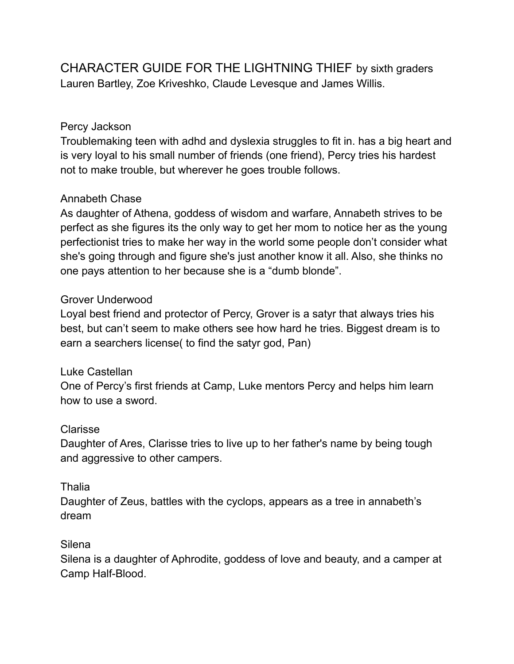CHARACTER GUIDE FOR THE LIGHTNING THIEF by sixth graders Lauren Bartley, Zoe Kriveshko, Claude Levesque and James Willis.

# Percy Jackson

Troublemaking teen with adhd and dyslexia struggles to fit in. has a big heart and is very loyal to his small number of friends (one friend), Percy tries his hardest not to make trouble, but wherever he goes trouble follows.

# Annabeth Chase

As daughter of Athena, goddess of wisdom and warfare, Annabeth strives to be perfect as she figures its the only way to get her mom to notice her as the young perfectionist tries to make her way in the world some people don't consider what she's going through and figure she's just another know it all. Also, she thinks no one pays attention to her because she is a "dumb blonde".

## Grover Underwood

Loyal best friend and protector of Percy, Grover is a satyr that always tries his best, but can't seem to make others see how hard he tries. Biggest dream is to earn a searchers license( to find the satyr god, Pan)

## Luke Castellan

One of Percy's first friends at Camp, Luke mentors Percy and helps him learn how to use a sword.

## Clarisse

Daughter of Ares, Clarisse tries to live up to her father's name by being tough and aggressive to other campers.

## Thalia

Daughter of Zeus, battles with the cyclops, appears as a tree in annabeth's dream

## Silena

Silena is a daughter of Aphrodite, goddess of love and beauty, and a camper at Camp Half-Blood.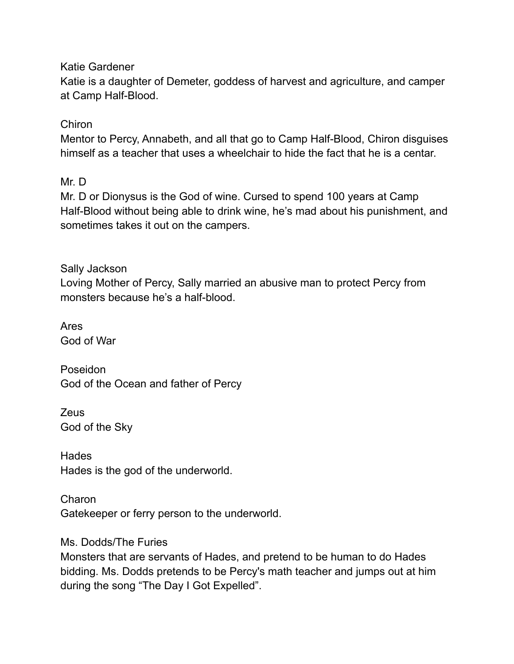Katie Gardener

Katie is a daughter of Demeter, goddess of harvest and agriculture, and camper at Camp Half-Blood.

# Chiron

Mentor to Percy, Annabeth, and all that go to Camp Half-Blood, Chiron disguises himself as a teacher that uses a wheelchair to hide the fact that he is a centar.

Mr. D

Mr. D or Dionysus is the God of wine. Cursed to spend 100 years at Camp Half-Blood without being able to drink wine, he's mad about his punishment, and sometimes takes it out on the campers.

Sally Jackson Loving Mother of Percy, Sally married an abusive man to protect Percy from monsters because he's a half-blood.

Ares God of War

Poseidon God of the Ocean and father of Percy

Zeus God of the Sky

**Hades** Hades is the god of the underworld.

Charon Gatekeeper or ferry person to the underworld.

Ms. Dodds/The Furies

Monsters that are servants of Hades, and pretend to be human to do Hades bidding. Ms. Dodds pretends to be Percy's math teacher and jumps out at him during the song "The Day I Got Expelled".